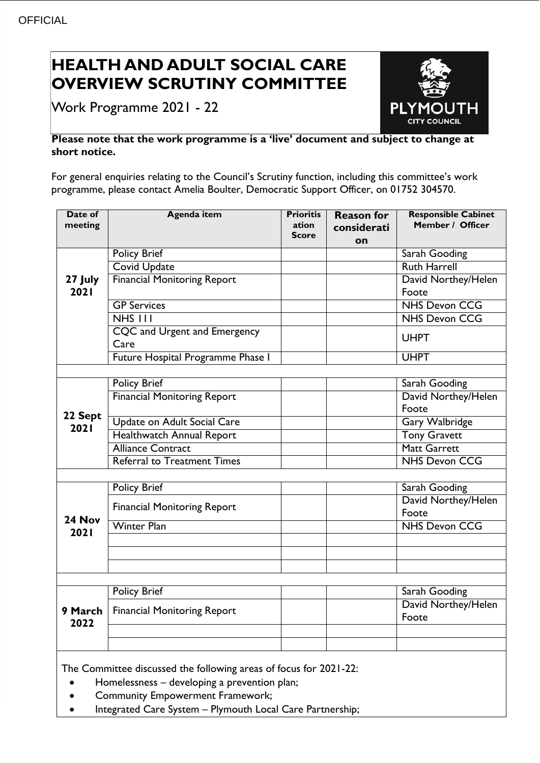# **HEALTH AND ADULT SOCIAL CARE OVERVIEW SCRUTINY COMMITTEE**

Work Programme 2021 - 22



## **Please note that the work programme is a 'live' document and subject to change at short notice.**

For general enquiries relating to the Council's Scrutiny function, including this committee's work programme, please contact Amelia Boulter, Democratic Support Officer, on 01752 304570.

| Date of<br>meeting                                                                                                | <b>Agenda item</b>                    | <b>Prioritis</b><br>ation<br><b>Score</b> | <b>Reason for</b><br>considerati<br>on | <b>Responsible Cabinet</b><br>Member / Officer |
|-------------------------------------------------------------------------------------------------------------------|---------------------------------------|-------------------------------------------|----------------------------------------|------------------------------------------------|
| 27 July<br>2021                                                                                                   | <b>Policy Brief</b>                   |                                           |                                        | Sarah Gooding                                  |
|                                                                                                                   | <b>Covid Update</b>                   |                                           |                                        | <b>Ruth Harrell</b>                            |
|                                                                                                                   | <b>Financial Monitoring Report</b>    |                                           |                                        | David Northey/Helen                            |
|                                                                                                                   |                                       |                                           |                                        | Foote                                          |
|                                                                                                                   | <b>GP Services</b>                    |                                           |                                        | <b>NHS Devon CCG</b>                           |
|                                                                                                                   | $NHS$ $111$                           |                                           |                                        | <b>NHS Devon CCG</b>                           |
|                                                                                                                   | CQC and Urgent and Emergency          |                                           |                                        | <b>UHPT</b>                                    |
|                                                                                                                   | Care                                  |                                           |                                        |                                                |
|                                                                                                                   | Future Hospital Programme Phase I     |                                           |                                        | <b>UHPT</b>                                    |
|                                                                                                                   |                                       |                                           |                                        |                                                |
| 22 Sept<br>2021                                                                                                   | <b>Policy Brief</b>                   |                                           |                                        | Sarah Gooding                                  |
|                                                                                                                   | <b>Financial Monitoring Report</b>    |                                           |                                        | David Northey/Helen                            |
|                                                                                                                   |                                       |                                           |                                        | Foote                                          |
|                                                                                                                   | Update on Adult Social Care           |                                           |                                        | <b>Gary Walbridge</b>                          |
|                                                                                                                   | Healthwatch Annual Report             |                                           |                                        | <b>Tony Gravett</b>                            |
|                                                                                                                   | <b>Alliance Contract</b>              |                                           |                                        | <b>Matt Garrett</b>                            |
|                                                                                                                   | <b>Referral to Treatment Times</b>    |                                           |                                        | <b>NHS Devon CCG</b>                           |
|                                                                                                                   |                                       |                                           |                                        |                                                |
| 24 Nov<br><b>2021</b>                                                                                             | <b>Policy Brief</b>                   |                                           |                                        | Sarah Gooding                                  |
|                                                                                                                   | <b>Financial Monitoring Report</b>    |                                           |                                        | David Northey/Helen                            |
|                                                                                                                   |                                       |                                           |                                        | Foote                                          |
|                                                                                                                   | <b>Winter Plan</b>                    |                                           |                                        | <b>NHS Devon CCG</b>                           |
|                                                                                                                   |                                       |                                           |                                        |                                                |
|                                                                                                                   |                                       |                                           |                                        |                                                |
|                                                                                                                   |                                       |                                           |                                        |                                                |
|                                                                                                                   | <b>Policy Brief</b>                   |                                           |                                        | Sarah Gooding                                  |
| 2022                                                                                                              |                                       |                                           |                                        | David Northey/Helen                            |
|                                                                                                                   | 9 March   Financial Monitoring Report |                                           |                                        | Foote                                          |
|                                                                                                                   |                                       |                                           |                                        |                                                |
|                                                                                                                   |                                       |                                           |                                        |                                                |
|                                                                                                                   |                                       |                                           |                                        |                                                |
| The Committee discussed the following areas of focus for 2021-22:<br>Homelessness - developing a prevention plan; |                                       |                                           |                                        |                                                |
|                                                                                                                   |                                       |                                           |                                        |                                                |

- Community Empowerment Framework;
- Integrated Care System Plymouth Local Care Partnership;